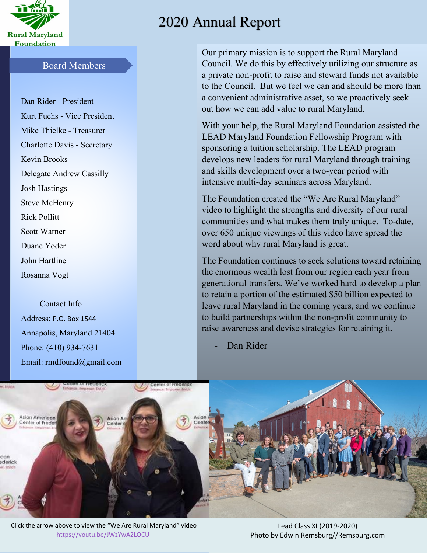

## Board Members

Dan Rider - President Kurt Fuchs - Vice President Mike Thielke - Treasurer Charlotte Davis - Secretary Kevin Brooks Delegate Andrew Cassilly Josh Hastings Steve McHenry Rick Pollitt Scott Warner Duane Yoder John Hartline

 Contact Info Address: P.O. Box 1544 Annapolis, Maryland 21404 Phone: (410) 934-7631 Email: rmdfound@gmail.com

Rosanna Vogt

# 2020 Annual Report

Our primary mission is to support the Rural Maryland Council. We do this by effectively utilizing our structure as a private non-profit to raise and steward funds not available to the Council. But we feel we can and should be more than a convenient administrative asset, so we proactively seek out how we can add value to rural Maryland.

With your help, the Rural Maryland Foundation assisted the LEAD Maryland Foundation Fellowship Program with sponsoring a tuition scholarship. The LEAD program develops new leaders for rural Maryland through training and skills development over a two-year period with intensive multi-day seminars across Maryland.

The Foundation created the "We Are Rural Maryland" video to highlight the strengths and diversity of our rural communities and what makes them truly unique. To-date, over 650 unique viewings of this video have spread the word about why rural Maryland is great.

The Foundation continues to seek solutions toward retaining the enormous wealth lost from our region each year from generational transfers. We've worked hard to develop a plan to retain a portion of the estimated \$50 billion expected to leave rural Maryland in the coming years, and we continue to build partnerships within the non-profit community to raise awareness and devise strategies for retaining it.

Dan Rider



Click the arrow above to view the "We Are Rural Maryland" video <https://youtu.be/JWzYwA2LOCU>

Lead Class XI (2019-2020) Photo by Edwin Remsburg//Remsburg.com